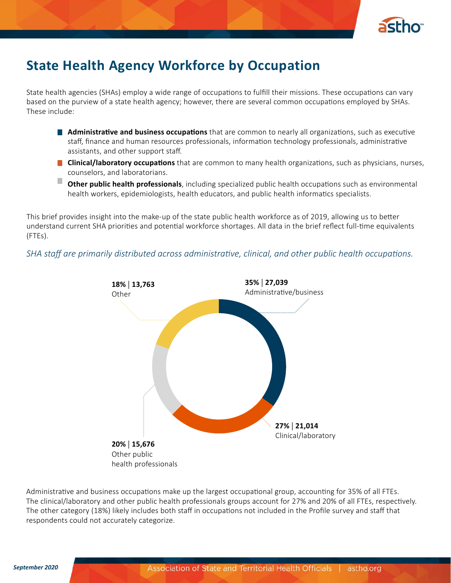

## **State Health Agency Workforce by Occupation**

State health agencies (SHAs) employ a wide range of occupations to fulfill their missions. These occupations can vary based on the purview of a state health agency; however, there are several common occupations employed by SHAs. These include:

- **Administrative and business occupations** that are common to nearly all organizations, such as executive staff, finance and human resources professionals, information technology professionals, administrative assistants, and other support staff.
- **Clinical/laboratory occupations** that are common to many health organizations, such as physicians, nurses, counselors, and laboratorians.
- **Other public health professionals**, including specialized public health occupations such as environmental health workers, epidemiologists, health educators, and public health informatics specialists.

This brief provides insight into the make-up of the state public health workforce as of 2019, allowing us to better understand current SHA priorities and potential workforce shortages. All data in the brief reflect full-time equivalents (FTEs).

*SHA staff are primarily distributed across administrative, clinical, and other public health occupations.*



Administrative and business occupations make up the largest occupational group, accounting for 35% of all FTEs. The clinical/laboratory and other public health professionals groups account for 27% and 20% of all FTEs, respectively. The other category (18%) likely includes both staff in occupations not included in the Profile survey and staff that respondents could not accurately categorize.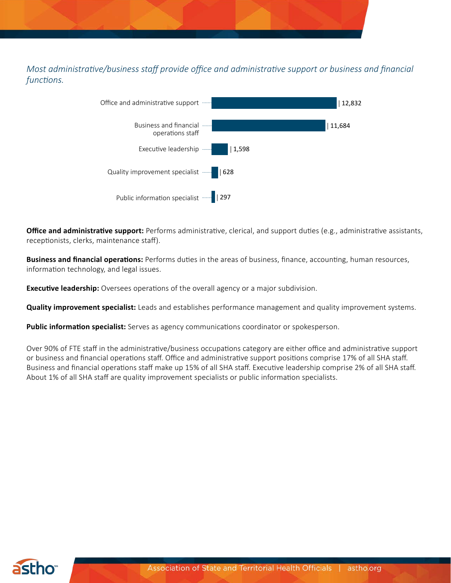*Most administrative/business staff provide office and administrative support or business and financial functions.*



**Office and administrative support:** Performs administrative, clerical, and support duties (e.g., administrative assistants, receptionists, clerks, maintenance staff).

**Business and financial operations:** Performs duties in the areas of business, finance, accounting, human resources, information technology, and legal issues.

**Executive leadership:** Oversees operations of the overall agency or a major subdivision.

**Quality improvement specialist:** Leads and establishes performance management and quality improvement systems.

**Public information specialist:** Serves as agency communications coordinator or spokesperson.

Over 90% of FTE staff in the administrative/business occupations category are either office and administrative support or business and financial operations staff. Office and administrative support positions comprise 17% of all SHA staff. Business and financial operations staff make up 15% of all SHA staff. Executive leadership comprise 2% of all SHA staff. About 1% of all SHA staff are quality improvement specialists or public information specialists.

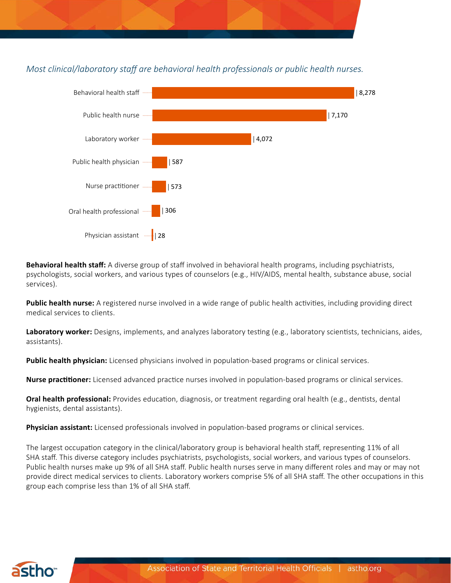

*Most clinical/laboratory staff are behavioral health professionals or public health nurses.*



**Behavioral health staff:** A diverse group of staff involved in behavioral health programs, including psychiatrists, psychologists, social workers, and various types of counselors (e.g., HIV/AIDS, mental health, substance abuse, social services).

Public health nurse: A registered nurse involved in a wide range of public health activities, including providing direct medical services to clients.

**Laboratory worker:** Designs, implements, and analyzes laboratory testing (e.g., laboratory scientists, technicians, aides, assistants).

**Public health physician:** Licensed physicians involved in population-based programs or clinical services.

**Nurse practitioner:** Licensed advanced practice nurses involved in population-based programs or clinical services.

**Oral health professional:** Provides education, diagnosis, or treatment regarding oral health (e.g., dentists, dental hygienists, dental assistants).

**Physician assistant:** Licensed professionals involved in population-based programs or clinical services.

The largest occupation category in the clinical/laboratory group is behavioral health staff, representing 11% of all SHA staff. This diverse category includes psychiatrists, psychologists, social workers, and various types of counselors. Public health nurses make up 9% of all SHA staff. Public health nurses serve in many different roles and may or may not provide direct medical services to clients. Laboratory workers comprise 5% of all SHA staff. The other occupations in this group each comprise less than 1% of all SHA staff.

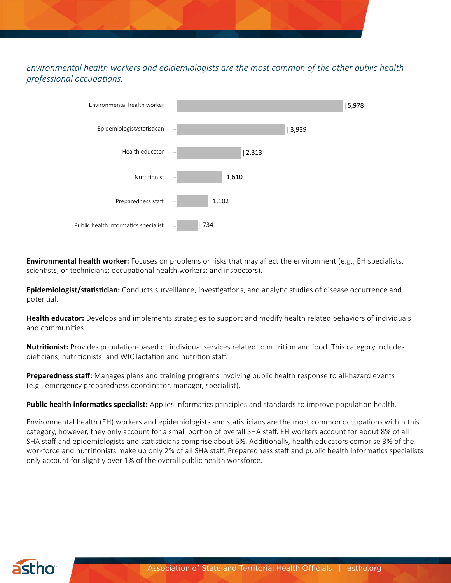## *Environmental health workers and epidemiologists are the most common of the other public health professional occupations.*



**Environmental health worker:** Focuses on problems or risks that may affect the environment (e.g., EH specialists, scientists, or technicians; occupational health workers; and inspectors).

**Epidemiologist/statistician:** Conducts surveillance, investigations, and analytic studies of disease occurrence and potential.

**Health educator:** Develops and implements strategies to support and modify health related behaviors of individuals and communities.

**Nutritionist:** Provides population-based or individual services related to nutrition and food. This category includes dieticians, nutritionists, and WIC lactation and nutrition staff.

**Preparedness staff:** Manages plans and training programs involving public health response to all-hazard events (e.g., emergency preparedness coordinator, manager, specialist).

**Public health informatics specialist:** Applies informatics principles and standards to improve population health.

Environmental health (EH) workers and epidemiologists and statisticians are the most common occupations within this category, however, they only account for a small portion of overall SHA staff. EH workers account for about 8% of all SHA staff and epidemiologists and statisticians comprise about 5%. Additionally, health educators comprise 3% of the workforce and nutritionists make up only 2% of all SHA staff. Preparedness staff and public health informatics specialists only account for slightly over 1% of the overall public health workforce.